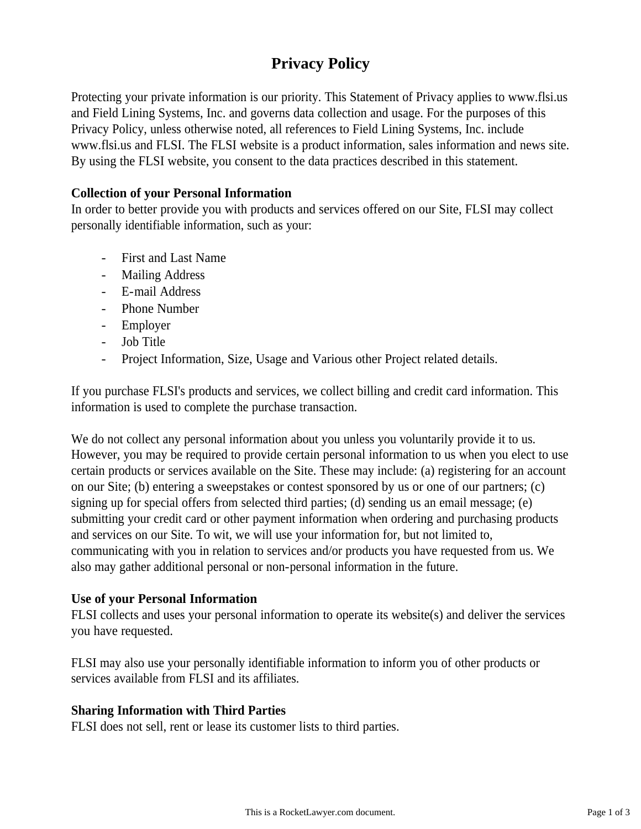# **Privacy Policy**

Protecting your private information is our priority. This Statement of Privacy applies to www.flsi.us and Field Lining Systems, Inc. and governs data collection and usage. For the purposes of this Privacy Policy, unless otherwise noted, all references to Field Lining Systems, Inc. include www.flsi.us and FLSI. The FLSI website is a product information, sales information and news site. By using the FLSI website, you consent to the data practices described in this statement.

#### **Collection of your Personal Information**

In order to better provide you with products and services offered on our Site, FLSI may collect personally identifiable information, such as your:

- First and Last Name
- Mailing Address
- E-mail Address
- Phone Number
- Employer
- Job Title
- Project Information, Size, Usage and Various other Project related details.

If you purchase FLSI's products and services, we collect billing and credit card information. This information is used to complete the purchase transaction.

We do not collect any personal information about you unless you voluntarily provide it to us. However, you may be required to provide certain personal information to us when you elect to use certain products or services available on the Site. These may include: (a) registering for an account on our Site; (b) entering a sweepstakes or contest sponsored by us or one of our partners; (c) signing up for special offers from selected third parties; (d) sending us an email message; (e) submitting your credit card or other payment information when ordering and purchasing products and services on our Site. To wit, we will use your information for, but not limited to, communicating with you in relation to services and/or products you have requested from us. We also may gather additional personal or non-personal information in the future.

## **Use of your Personal Information**

FLSI collects and uses your personal information to operate its website(s) and deliver the services you have requested.

FLSI may also use your personally identifiable information to inform you of other products or services available from FLSI and its affiliates.

## **Sharing Information with Third Parties**

FLSI does not sell, rent or lease its customer lists to third parties.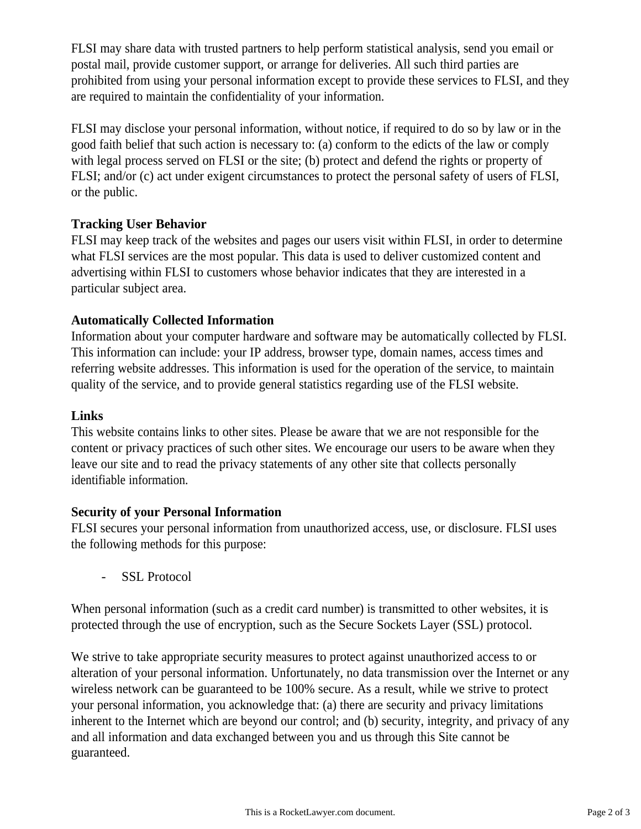FLSI may share data with trusted partners to help perform statistical analysis, send you email or postal mail, provide customer support, or arrange for deliveries. All such third parties are prohibited from using your personal information except to provide these services to FLSI, and they are required to maintain the confidentiality of your information.

FLSI may disclose your personal information, without notice, if required to do so by law or in the good faith belief that such action is necessary to: (a) conform to the edicts of the law or comply with legal process served on FLSI or the site; (b) protect and defend the rights or property of FLSI; and/or (c) act under exigent circumstances to protect the personal safety of users of FLSI, or the public.

# **Tracking User Behavior**

FLSI may keep track of the websites and pages our users visit within FLSI, in order to determine what FLSI services are the most popular. This data is used to deliver customized content and advertising within FLSI to customers whose behavior indicates that they are interested in a particular subject area.

# **Automatically Collected Information**

Information about your computer hardware and software may be automatically collected by FLSI. This information can include: your IP address, browser type, domain names, access times and referring website addresses. This information is used for the operation of the service, to maintain quality of the service, and to provide general statistics regarding use of the FLSI website.

## **Links**

This website contains links to other sites. Please be aware that we are not responsible for the content or privacy practices of such other sites. We encourage our users to be aware when they leave our site and to read the privacy statements of any other site that collects personally identifiable information.

## **Security of your Personal Information**

FLSI secures your personal information from unauthorized access, use, or disclosure. FLSI uses the following methods for this purpose:

- SSL Protocol

When personal information (such as a credit card number) is transmitted to other websites, it is protected through the use of encryption, such as the Secure Sockets Layer (SSL) protocol.

We strive to take appropriate security measures to protect against unauthorized access to or alteration of your personal information. Unfortunately, no data transmission over the Internet or any wireless network can be guaranteed to be 100% secure. As a result, while we strive to protect your personal information, you acknowledge that: (a) there are security and privacy limitations inherent to the Internet which are beyond our control; and (b) security, integrity, and privacy of any and all information and data exchanged between you and us through this Site cannot be guaranteed.